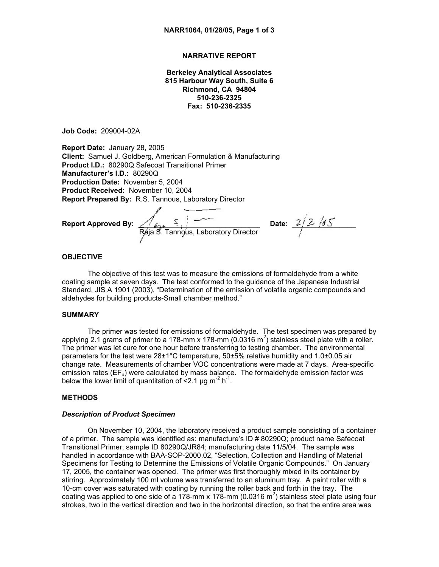# **NARRATIVE REPORT**

**Berkeley Analytical Associates 815 Harbour Way South, Suite 6 Richmond, CA 94804 510-236-2325 Fax: 510-236-2335**

**Job Code:** 209004-02A

**Report Date:** January 28, 2005 **Client:** Samuel J. Goldberg, American Formulation & Manufacturing **Product I.D.:** 80290Q Safecoat Transitional Primer **Manufacturer's I.D.:** 80290Q **Production Date:** November 5, 2004 **Product Received:** November 10, 2004 **Report Prepared By:** R.S. Tannous, Laboratory Director

**Report Approved By:** \_\_\_\_\_\_\_\_\_\_\_\_\_\_\_\_\_\_\_\_\_\_\_\_\_\_\_\_\_\_\_\_\_**Date:** \_\_\_\_\_\_\_\_\_\_\_\_\_\_\_\_ Rája S. Tannous, Laboratory Director

# **OBJECTIVE**

The objective of this test was to measure the emissions of formaldehyde from a white coating sample at seven days. The test conformed to the guidance of the Japanese Industrial Standard, JIS A 1901 (2003), "Determination of the emission of volatile organic compounds and aldehydes for building products-Small chamber method."

# **SUMMARY**

The primer was tested for emissions of formaldehyde. The test specimen was prepared by applying 2.1 grams of primer to a 178-mm x 178-mm (0.0316 m<sup>2</sup>) stainless steel plate with a roller. The primer was let cure for one hour before transferring to testing chamber. The environmental parameters for the test were 28±1°C temperature, 50±5% relative humidity and 1.0±0.05 air change rate. Measurements of chamber VOC concentrations were made at 7 days. Area-specific emission rates ( $EF_a$ ) were calculated by mass balance. The formaldehyde emission factor was below the lower limit of quantitation of  $\leq 2.1$  µg m<sup>-2</sup> h<sup>-1</sup>.

### **METHODS**

### *Description of Product Specimen*

On November 10, 2004, the laboratory received a product sample consisting of a container of a primer. The sample was identified as: manufacture's ID # 80290Q; product name Safecoat Transitional Primer; sample ID 80290Q/JR84; manufacturing date 11/5/04. The sample was handled in accordance with BAA-SOP-2000.02, "Selection, Collection and Handling of Material Specimens for Testing to Determine the Emissions of Volatile Organic Compounds." On January 17, 2005, the container was opened. The primer was first thoroughly mixed in its container by stirring. Approximately 100 ml volume was transferred to an aluminum tray. A paint roller with a 10-cm cover was saturated with coating by running the roller back and forth in the tray. The coating was applied to one side of a 178-mm x 178-mm (0.0316 m<sup>2</sup>) stainless steel plate using four strokes, two in the vertical direction and two in the horizontal direction, so that the entire area was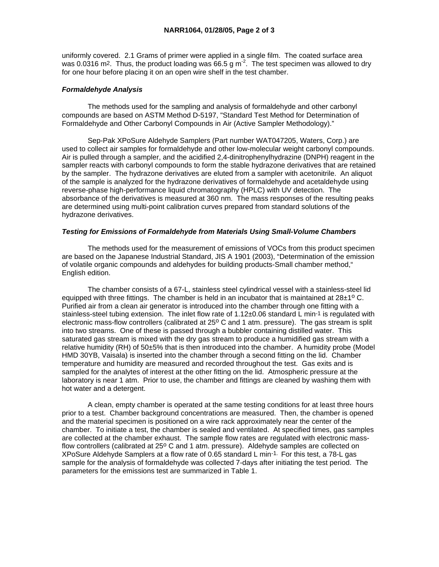uniformly covered. 2.1 Grams of primer were applied in a single film. The coated surface area was 0.0316 m<sup>2</sup>. Thus, the product loading was 66.5 g m<sup>2</sup>. The test specimen was allowed to dry for one hour before placing it on an open wire shelf in the test chamber.

# *Formaldehyde Analysis*

 The methods used for the sampling and analysis of formaldehyde and other carbonyl compounds are based on ASTM Method D-5197, "Standard Test Method for Determination of Formaldehyde and Other Carbonyl Compounds in Air (Active Sampler Methodology)."

 Sep-Pak XPoSure Aldehyde Samplers (Part number WAT047205, Waters, Corp.) are used to collect air samples for formaldehyde and other low-molecular weight carbonyl compounds. Air is pulled through a sampler, and the acidified 2,4-dinitrophenylhydrazine (DNPH) reagent in the sampler reacts with carbonyl compounds to form the stable hydrazone derivatives that are retained by the sampler. The hydrazone derivatives are eluted from a sampler with acetonitrile. An aliquot of the sample is analyzed for the hydrazone derivatives of formaldehyde and acetaldehyde using reverse-phase high-performance liquid chromatography (HPLC) with UV detection. The absorbance of the derivatives is measured at 360 nm. The mass responses of the resulting peaks are determined using multi-point calibration curves prepared from standard solutions of the hydrazone derivatives.

## *Testing for Emissions of Formaldehyde from Materials Using Small-Volume Chambers*

 The methods used for the measurement of emissions of VOCs from this product specimen are based on the Japanese Industrial Standard, JIS A 1901 (2003), "Determination of the emission of volatile organic compounds and aldehydes for building products-Small chamber method," English edition.

 The chamber consists of a 67-L, stainless steel cylindrical vessel with a stainless-steel lid equipped with three fittings. The chamber is held in an incubator that is maintained at  $28\pm10$  C. Purified air from a clean air generator is introduced into the chamber through one fitting with a stainless-steel tubing extension. The inlet flow rate of  $1.12\pm0.06$  standard L min<sup>-1</sup> is regulated with electronic mass-flow controllers (calibrated at 25° C and 1 atm. pressure). The gas stream is split into two streams. One of these is passed through a bubbler containing distilled water. This saturated gas stream is mixed with the dry gas stream to produce a humidified gas stream with a relative humidity (RH) of 50±5% that is then introduced into the chamber. A humidity probe (Model HMD 30YB, Vaisala) is inserted into the chamber through a second fitting on the lid. Chamber temperature and humidity are measured and recorded throughout the test. Gas exits and is sampled for the analytes of interest at the other fitting on the lid. Atmospheric pressure at the laboratory is near 1 atm. Prior to use, the chamber and fittings are cleaned by washing them with hot water and a detergent.

 A clean, empty chamber is operated at the same testing conditions for at least three hours prior to a test. Chamber background concentrations are measured. Then, the chamber is opened and the material specimen is positioned on a wire rack approximately near the center of the chamber. To initiate a test, the chamber is sealed and ventilated. At specified times, gas samples are collected at the chamber exhaust. The sample flow rates are regulated with electronic massflow controllers (calibrated at  $25^{\circ}$  C and 1 atm. pressure). Aldehyde samples are collected on XPoSure Aldehyde Samplers at a flow rate of 0.65 standard L min-1. For this test, a 78-L gas sample for the analysis of formaldehyde was collected 7-days after initiating the test period. The parameters for the emissions test are summarized in Table 1.